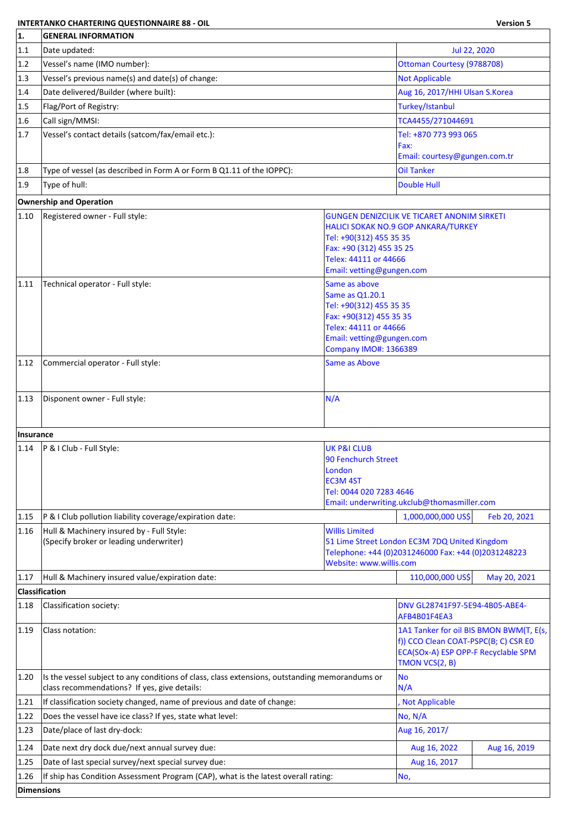## **INTERTANKO CHARTERING QUESTIONNAIRE 88 - OIL Version 5**

| 1.         | <b>GENERAL INFORMATION</b>                                                                     |                                                           |                                                                                                      |              |  |
|------------|------------------------------------------------------------------------------------------------|-----------------------------------------------------------|------------------------------------------------------------------------------------------------------|--------------|--|
| 1.1        | Date updated:                                                                                  |                                                           | Jul 22, 2020                                                                                         |              |  |
| 1.2        | Vessel's name (IMO number):                                                                    |                                                           | Ottoman Courtesy (9788708)                                                                           |              |  |
| 1.3        | Vessel's previous name(s) and date(s) of change:                                               |                                                           | <b>Not Applicable</b>                                                                                |              |  |
| 1.4        | Date delivered/Builder (where built):                                                          |                                                           | Aug 16, 2017/HHI Ulsan S.Korea                                                                       |              |  |
| 1.5        | Flag/Port of Registry:                                                                         |                                                           | Turkey/Istanbul                                                                                      |              |  |
| 1.6        | Call sign/MMSI:                                                                                |                                                           | TCA4455/271044691                                                                                    |              |  |
| 1.7        | Vessel's contact details (satcom/fax/email etc.):                                              |                                                           | Tel: +870 773 993 065                                                                                |              |  |
|            |                                                                                                |                                                           | Fax:                                                                                                 |              |  |
|            |                                                                                                |                                                           | Email: courtesy@gungen.com.tr                                                                        |              |  |
| 1.8        | Type of vessel (as described in Form A or Form B Q1.11 of the IOPPC):                          |                                                           | <b>Oil Tanker</b>                                                                                    |              |  |
| 1.9        | Type of hull:                                                                                  |                                                           | <b>Double Hull</b>                                                                                   |              |  |
|            | <b>Ownership and Operation</b>                                                                 |                                                           |                                                                                                      |              |  |
| 1.10       | Registered owner - Full style:                                                                 |                                                           | <b>GUNGEN DENIZCILIK VE TICARET ANONIM SIRKETI</b>                                                   |              |  |
|            |                                                                                                | Tel: +90(312) 455 35 35                                   | HALICI SOKAK NO.9 GOP ANKARA/TURKEY                                                                  |              |  |
|            |                                                                                                | Fax: +90 (312) 455 35 25                                  |                                                                                                      |              |  |
|            |                                                                                                | Telex: 44111 or 44666                                     |                                                                                                      |              |  |
|            |                                                                                                | Email: vetting@gungen.com                                 |                                                                                                      |              |  |
| 1.11       | Technical operator - Full style:                                                               | Same as above<br>Same as Q1.20.1                          |                                                                                                      |              |  |
|            |                                                                                                | Tel: +90(312) 455 35 35                                   |                                                                                                      |              |  |
|            |                                                                                                | Fax: +90(312) 455 35 35                                   |                                                                                                      |              |  |
|            |                                                                                                | Telex: 44111 or 44666                                     |                                                                                                      |              |  |
|            |                                                                                                | Email: vetting@gungen.com<br><b>Company IMO#: 1366389</b> |                                                                                                      |              |  |
| 1.12       | Commercial operator - Full style:                                                              | <b>Same as Above</b>                                      |                                                                                                      |              |  |
|            |                                                                                                |                                                           |                                                                                                      |              |  |
|            |                                                                                                |                                                           |                                                                                                      |              |  |
| 1.13       | Disponent owner - Full style:                                                                  | N/A                                                       |                                                                                                      |              |  |
|            |                                                                                                |                                                           |                                                                                                      |              |  |
| Insurance  |                                                                                                |                                                           |                                                                                                      |              |  |
| 1.14       | P & I Club - Full Style:                                                                       | <b>UK P&amp;I CLUB</b>                                    |                                                                                                      |              |  |
|            |                                                                                                | 90 Fenchurch Street                                       |                                                                                                      |              |  |
|            |                                                                                                | London<br><b>EC3M 4ST</b>                                 |                                                                                                      |              |  |
|            |                                                                                                | Tel: 0044 020 7283 4646                                   |                                                                                                      |              |  |
|            |                                                                                                |                                                           | Email: underwriting.ukclub@thomasmiller.com                                                          |              |  |
| 1.15       | P & I Club pollution liability coverage/expiration date:                                       |                                                           | 1,000,000,000 US\$                                                                                   | Feb 20, 2021 |  |
| 1.16       | Hull & Machinery insured by - Full Style:                                                      | <b>Willis Limited</b>                                     |                                                                                                      |              |  |
|            | (Specify broker or leading underwriter)                                                        |                                                           | 51 Lime Street London EC3M 7DQ United Kingdom<br>Telephone: +44 (0)2031246000 Fax: +44 (0)2031248223 |              |  |
|            |                                                                                                | Website: www.willis.com                                   |                                                                                                      |              |  |
| 1.17       | Hull & Machinery insured value/expiration date:                                                |                                                           | 110,000,000 US\$                                                                                     | May 20, 2021 |  |
|            | Classification                                                                                 |                                                           |                                                                                                      |              |  |
| 1.18       | Classification society:                                                                        |                                                           | DNV GL28741F97-5E94-4B05-ABE4-<br>AFB4B01F4EA3                                                       |              |  |
| 1.19       | Class notation:                                                                                |                                                           | 1A1 Tanker for oil BIS BMON BWM(T, E(s,                                                              |              |  |
|            |                                                                                                |                                                           | f)) CCO Clean COAT-PSPC(B; C) CSR E0                                                                 |              |  |
|            |                                                                                                |                                                           | ECA(SOx-A) ESP OPP-F Recyclable SPM<br>TMON VCS(2, B)                                                |              |  |
| 1.20       | Is the vessel subject to any conditions of class, class extensions, outstanding memorandums or |                                                           | <b>No</b>                                                                                            |              |  |
|            | class recommendations? If yes, give details:                                                   |                                                           | N/A                                                                                                  |              |  |
| 1.21       | If classification society changed, name of previous and date of change:                        |                                                           | <b>Not Applicable</b>                                                                                |              |  |
| 1.22       | Does the vessel have ice class? If yes, state what level:                                      |                                                           | No, N/A                                                                                              |              |  |
| 1.23       | Date/place of last dry-dock:                                                                   |                                                           | Aug 16, 2017/                                                                                        |              |  |
| 1.24       | Date next dry dock due/next annual survey due:                                                 |                                                           | Aug 16, 2022                                                                                         | Aug 16, 2019 |  |
| 1.25       | Date of last special survey/next special survey due:                                           |                                                           | Aug 16, 2017                                                                                         |              |  |
| 1.26       | If ship has Condition Assessment Program (CAP), what is the latest overall rating:             |                                                           | No,                                                                                                  |              |  |
| Dimensions |                                                                                                |                                                           |                                                                                                      |              |  |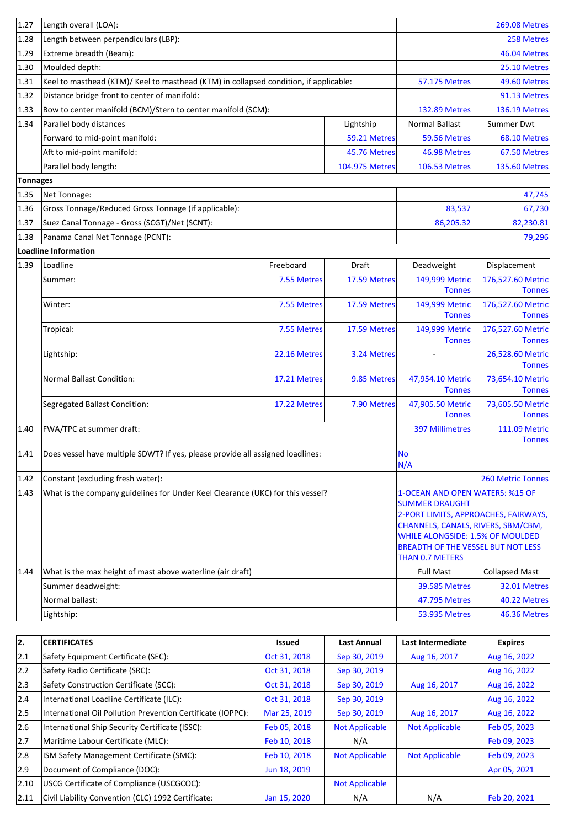| 1.27            | Length overall (LOA):                                                                 |              |                | <b>269.08 Metres</b>                                                                                                                                                       |                                       |
|-----------------|---------------------------------------------------------------------------------------|--------------|----------------|----------------------------------------------------------------------------------------------------------------------------------------------------------------------------|---------------------------------------|
| 1.28            | Length between perpendiculars (LBP):                                                  |              |                |                                                                                                                                                                            | 258 Metres                            |
| 1.29            | Extreme breadth (Beam):                                                               |              |                |                                                                                                                                                                            | 46.04 Metres                          |
| 1.30            | Moulded depth:                                                                        |              |                |                                                                                                                                                                            | 25.10 Metres                          |
| 1.31            | Keel to masthead (KTM)/ Keel to masthead (KTM) in collapsed condition, if applicable: |              |                | <b>57.175 Metres</b>                                                                                                                                                       | 49.60 Metres                          |
| 1.32            | Distance bridge front to center of manifold:                                          |              |                |                                                                                                                                                                            | 91.13 Metres                          |
| 1.33            | Bow to center manifold (BCM)/Stern to center manifold (SCM):                          |              |                | <b>132.89 Metres</b>                                                                                                                                                       | <b>136.19 Metres</b>                  |
| 1.34            | Parallel body distances                                                               |              | Lightship      | <b>Normal Ballast</b>                                                                                                                                                      | Summer Dwt                            |
|                 | Forward to mid-point manifold:                                                        |              | 59.21 Metres   | 59.56 Metres                                                                                                                                                               | 68.10 Metres                          |
|                 | Aft to mid-point manifold:                                                            |              | 45.76 Metres   | 46.98 Metres                                                                                                                                                               | 67.50 Metres                          |
|                 | Parallel body length:                                                                 |              | 104.975 Metres | <b>106.53 Metres</b>                                                                                                                                                       | <b>135.60 Metres</b>                  |
| <b>Tonnages</b> |                                                                                       |              |                |                                                                                                                                                                            |                                       |
| 1.35            | Net Tonnage:                                                                          |              |                |                                                                                                                                                                            | 47,745                                |
| 1.36            | Gross Tonnage/Reduced Gross Tonnage (if applicable):                                  |              |                | 83,537                                                                                                                                                                     | 67,730                                |
| 1.37            | Suez Canal Tonnage - Gross (SCGT)/Net (SCNT):                                         |              |                | 86,205.32                                                                                                                                                                  | 82,230.81                             |
| 1.38            | Panama Canal Net Tonnage (PCNT):                                                      |              |                |                                                                                                                                                                            | 79,296                                |
|                 | Loadline Information                                                                  |              |                |                                                                                                                                                                            |                                       |
| 1.39            | Loadline                                                                              | Freeboard    | Draft          | Deadweight                                                                                                                                                                 | Displacement                          |
|                 | Summer:                                                                               | 7.55 Metres  | 17.59 Metres   | 149,999 Metric<br><b>Tonnes</b>                                                                                                                                            | 176,527.60 Metric<br><b>Tonnes</b>    |
|                 | Winter:                                                                               | 7.55 Metres  | 17.59 Metres   | 149,999 Metric                                                                                                                                                             | 176,527.60 Metric                     |
|                 |                                                                                       |              |                | <b>Tonnes</b>                                                                                                                                                              | <b>Tonnes</b>                         |
|                 | Tropical:                                                                             | 7.55 Metres  | 17.59 Metres   | 149,999 Metric<br><b>Tonnes</b>                                                                                                                                            | 176,527.60 Metric<br><b>Tonnes</b>    |
|                 | Lightship:                                                                            | 22.16 Metres | 3.24 Metres    |                                                                                                                                                                            | 26,528.60 Metric<br><b>Tonnes</b>     |
|                 | <b>Normal Ballast Condition:</b>                                                      | 17.21 Metres | 9.85 Metres    | 47,954.10 Metric<br><b>Tonnes</b>                                                                                                                                          | 73,654.10 Metric<br><b>Tonnes</b>     |
|                 | Segregated Ballast Condition:                                                         | 17.22 Metres | 7.90 Metres    | 47,905.50 Metric                                                                                                                                                           | 73,605.50 Metric                      |
|                 |                                                                                       |              |                | <b>Tonnes</b>                                                                                                                                                              | <b>Tonnes</b>                         |
| 1.40            | FWA/TPC at summer draft:                                                              |              |                | <b>397 Millimetres</b>                                                                                                                                                     | <b>111.09 Metric</b><br><b>Tonnes</b> |
| 1.41            | Does vessel have multiple SDWT? If yes, please provide all assigned loadlines:        |              |                | <b>No</b><br>N/A                                                                                                                                                           |                                       |
| 1.42            | Constant (excluding fresh water):                                                     |              |                |                                                                                                                                                                            | <b>260 Metric Tonnes</b>              |
| 1.43            | What is the company guidelines for Under Keel Clearance (UKC) for this vessel?        |              |                | 1-OCEAN AND OPEN WATERS: %15 OF<br><b>SUMMER DRAUGHT</b><br>2-PORT LIMITS, APPROACHES, FAIRWAYS,<br>CHANNELS, CANALS, RIVERS, SBM/CBM,<br>WHILE ALONGSIDE: 1.5% OF MOULDED |                                       |
|                 |                                                                                       |              |                | <b>BREADTH OF THE VESSEL BUT NOT LESS</b><br><b>THAN 0.7 METERS</b>                                                                                                        |                                       |
| 1.44            | What is the max height of mast above waterline (air draft)                            |              |                | <b>Full Mast</b>                                                                                                                                                           | <b>Collapsed Mast</b>                 |
|                 | Summer deadweight:                                                                    |              |                | <b>39.585 Metres</b>                                                                                                                                                       | 32.01 Metres                          |
|                 | Normal ballast:                                                                       |              |                | 47.795 Metres                                                                                                                                                              | 40.22 Metres                          |
|                 | Lightship:                                                                            |              |                | 53.935 Metres                                                                                                                                                              | 46.36 Metres                          |

| 2.            | <b>CERTIFICATES</b>                                         | Issued       | <b>Last Annual</b>    | Last Intermediate     | <b>Expires</b> |
|---------------|-------------------------------------------------------------|--------------|-----------------------|-----------------------|----------------|
| 2.1           | Safety Equipment Certificate (SEC):                         | Oct 31, 2018 | Sep 30, 2019          | Aug 16, 2017          | Aug 16, 2022   |
| 2.2           | Safety Radio Certificate (SRC):                             | Oct 31, 2018 | Sep 30, 2019          |                       | Aug 16, 2022   |
| $ 2.3\rangle$ | Safety Construction Certificate (SCC):                      | Oct 31, 2018 | Sep 30, 2019          | Aug 16, 2017          | Aug 16, 2022   |
| 2.4           | International Loadline Certificate (ILC):                   | Oct 31, 2018 | Sep 30, 2019          |                       | Aug 16, 2022   |
| 2.5           | International Oil Pollution Prevention Certificate (IOPPC): | Mar 25, 2019 | Sep 30, 2019          | Aug 16, 2017          | Aug 16, 2022   |
| 2.6           | International Ship Security Certificate (ISSC):             | Feb 05, 2018 | <b>Not Applicable</b> | <b>Not Applicable</b> | Feb 05, 2023   |
| 2.7           | Maritime Labour Certificate (MLC):                          | Feb 10, 2018 | N/A                   |                       | Feb 09, 2023   |
| 2.8           | ISM Safety Management Certificate (SMC):                    | Feb 10, 2018 | <b>Not Applicable</b> | <b>Not Applicable</b> | Feb 09, 2023   |
| 2.9           | Document of Compliance (DOC):                               | Jun 18, 2019 |                       |                       | Apr 05, 2021   |
| 2.10          | USCG Certificate of Compliance (USCGCOC):                   |              | <b>Not Applicable</b> |                       |                |
| 2.11          | Civil Liability Convention (CLC) 1992 Certificate:          | Jan 15, 2020 | N/A                   | N/A                   | Feb 20, 2021   |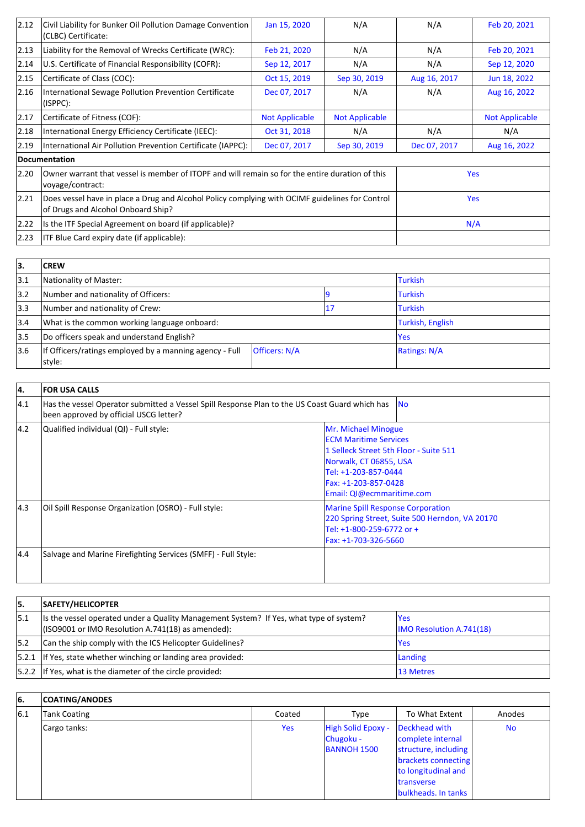| 2.12           | Civil Liability for Bunker Oil Pollution Damage Convention<br>(CLBC) Certificate:                                                     | Jan 15, 2020                                                                                    | N/A                   | N/A          | Feb 20, 2021          |
|----------------|---------------------------------------------------------------------------------------------------------------------------------------|-------------------------------------------------------------------------------------------------|-----------------------|--------------|-----------------------|
| $ 2.13\rangle$ | Liability for the Removal of Wrecks Certificate (WRC):                                                                                | Feb 21, 2020                                                                                    | N/A                   | N/A          | Feb 20, 2021          |
| 2.14           | U.S. Certificate of Financial Responsibility (COFR):                                                                                  | Sep 12, 2017                                                                                    | N/A                   | N/A          | Sep 12, 2020          |
| 2.15           | Certificate of Class (COC):                                                                                                           | Oct 15, 2019                                                                                    | Sep 30, 2019          | Aug 16, 2017 | Jun 18, 2022          |
| 2.16           | International Sewage Pollution Prevention Certificate<br>(ISPPC):                                                                     | Dec 07, 2017                                                                                    | N/A                   | N/A          | Aug 16, 2022          |
| 2.17           | Certificate of Fitness (COF):                                                                                                         | <b>Not Applicable</b>                                                                           | <b>Not Applicable</b> |              | <b>Not Applicable</b> |
| 2.18           | International Energy Efficiency Certificate (IEEC):                                                                                   | Oct 31, 2018                                                                                    | N/A                   | N/A          | N/A                   |
| $ 2.19\rangle$ | International Air Pollution Prevention Certificate (IAPPC):                                                                           | Dec 07, 2017                                                                                    | Sep 30, 2019          | Dec 07, 2017 | Aug 16, 2022          |
|                | Documentation                                                                                                                         |                                                                                                 |                       |              |                       |
| 2.20           | voyage/contract:                                                                                                                      | Owner warrant that vessel is member of ITOPF and will remain so for the entire duration of this |                       |              | <b>Yes</b>            |
| 2.21           | Does vessel have in place a Drug and Alcohol Policy complying with OCIMF guidelines for Control<br>of Drugs and Alcohol Onboard Ship? |                                                                                                 |                       |              | <b>Yes</b>            |
| 2.22           | Is the ITF Special Agreement on board (if applicable)?                                                                                |                                                                                                 |                       |              | N/A                   |
| 2.23           | <b>ITF Blue Card expiry date (if applicable):</b>                                                                                     |                                                                                                 |                       |              |                       |

| 13.           | <b>CREW</b>                                                       |                      |                  |                |  |
|---------------|-------------------------------------------------------------------|----------------------|------------------|----------------|--|
| 3.1           | Nationality of Master:                                            |                      |                  | <b>Turkish</b> |  |
| 3.2           | Number and nationality of Officers:                               |                      | <b>Turkish</b>   |                |  |
| $ 3.3\rangle$ | Number and nationality of Crew:<br>17                             |                      | <b>Turkish</b>   |                |  |
| 3.4           | What is the common working language onboard:                      |                      | Turkish, English |                |  |
| 3.5           | Do officers speak and understand English?                         |                      | <b>Yes</b>       |                |  |
| 3.6           | If Officers/ratings employed by a manning agency - Full<br>style: | <b>Officers: N/A</b> |                  | Ratings: N/A   |  |

| 4.            | <b>FOR USA CALLS</b>                                                                                                                     |                                                                                                                                                                                                      |  |
|---------------|------------------------------------------------------------------------------------------------------------------------------------------|------------------------------------------------------------------------------------------------------------------------------------------------------------------------------------------------------|--|
| 4.1           | Has the vessel Operator submitted a Vessel Spill Response Plan to the US Coast Guard which has<br>been approved by official USCG letter? | <b>INo</b>                                                                                                                                                                                           |  |
| $ 4.2\rangle$ | Qualified individual (QI) - Full style:                                                                                                  | Mr. Michael Minogue<br><b>ECM Maritime Services</b><br>1 Selleck Street 5th Floor - Suite 511<br>Norwalk, CT 06855, USA<br>Tel: +1-203-857-0444<br>Fax: +1-203-857-0428<br>Email: QI@ecmmaritime.com |  |
| $ 4.3\rangle$ | Oil Spill Response Organization (OSRO) - Full style:                                                                                     | <b>Marine Spill Response Corporation</b><br>220 Spring Street, Suite 500 Herndon, VA 20170<br>Tel: +1-800-259-6772 or +<br>Fax: +1-703-326-5660                                                      |  |
| 4.4           | Salvage and Marine Firefighting Services (SMFF) - Full Style:                                                                            |                                                                                                                                                                                                      |  |

| 15.  | SAFETY/HELICOPTER                                                                                                                               |                                         |
|------|-------------------------------------------------------------------------------------------------------------------------------------------------|-----------------------------------------|
| 15.1 | Its the vessel operated under a Quality Management System? If Yes, what type of system?<br>$($ ISO9001 or IMO Resolution A.741(18) as amended): | lYes<br><b>IMO Resolution A.741(18)</b> |
| 5.2  | Can the ship comply with the ICS Helicopter Guidelines?                                                                                         | lYes                                    |
|      | $ 5.2.1 $ If Yes, state whether winching or landing area provided:                                                                              | Landing                                 |
|      | $ 5.2.2 $ If Yes, what is the diameter of the circle provided:                                                                                  | <b>13 Metres</b>                        |

| l6. | <b>COATING/ANODES</b> |        |                                                       |                                                                                                                                                                     |           |
|-----|-----------------------|--------|-------------------------------------------------------|---------------------------------------------------------------------------------------------------------------------------------------------------------------------|-----------|
| 6.1 | Tank Coating          | Coated | Type                                                  | To What Extent                                                                                                                                                      | Anodes    |
|     | Cargo tanks:          | Yes    | High Solid Epoxy -<br>Chugoku -<br><b>BANNOH 1500</b> | Deckhead with<br>complete internal<br>structure, including<br>brackets connecting<br>to longitudinal and<br><i><u><b>Itransverse</b></u></i><br>bulkheads. In tanks | <b>No</b> |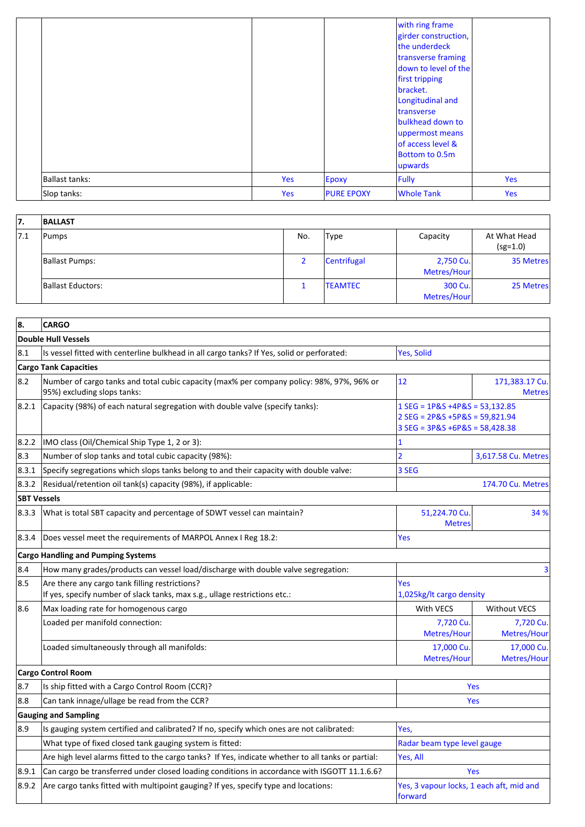| 17. | <b>BALLAST</b>        |     |                |                          |                            |
|-----|-----------------------|-----|----------------|--------------------------|----------------------------|
| 7.1 | Pumps                 | No. | <b>Type</b>    | Capacity                 | At What Head<br>$(sg=1.0)$ |
|     | <b>Ballast Pumps:</b> |     | Centrifugal    | 2,750 Cu.<br>Metres/Hour | 35 Metres                  |
|     | Ballast Eductors:     |     | <b>TEAMTEC</b> | 300 Cu.<br>Metres/Hour   | 25 Metres                  |

| 8.                 | <b>CARGO</b>                                                                                                                 |                                                                                                           |                                 |  |
|--------------------|------------------------------------------------------------------------------------------------------------------------------|-----------------------------------------------------------------------------------------------------------|---------------------------------|--|
|                    | <b>Double Hull Vessels</b>                                                                                                   |                                                                                                           |                                 |  |
| 8.1                | Is vessel fitted with centerline bulkhead in all cargo tanks? If Yes, solid or perforated:                                   | <b>Yes, Solid</b>                                                                                         |                                 |  |
|                    | <b>Cargo Tank Capacities</b>                                                                                                 |                                                                                                           |                                 |  |
| 8.2                | Number of cargo tanks and total cubic capacity (max% per company policy: 98%, 97%, 96% or<br>95%) excluding slops tanks:     | 12                                                                                                        | 171,383.17 Cu.<br><b>Metres</b> |  |
| 8.2.1              | Capacity (98%) of each natural segregation with double valve (specify tanks):                                                | $1$ SEG = 1P&S +4P&S = 53,132.85<br>$2$ SEG = 2P&S +5P&S = 59,821.94<br>$3 SEG = 3P&S + 6P&S = 58,428.38$ |                                 |  |
| 8.2.2              | IMO class (Oil/Chemical Ship Type 1, 2 or 3):                                                                                | 1                                                                                                         |                                 |  |
| 8.3                | Number of slop tanks and total cubic capacity (98%):                                                                         | $\overline{2}$                                                                                            | 3,617.58 Cu. Metres             |  |
| 8.3.1              | Specify segregations which slops tanks belong to and their capacity with double valve:                                       | 3 SEG                                                                                                     |                                 |  |
| 8.3.2              | Residual/retention oil tank(s) capacity (98%), if applicable:                                                                |                                                                                                           | 174.70 Cu. Metres               |  |
| <b>SBT Vessels</b> |                                                                                                                              |                                                                                                           |                                 |  |
| 8.3.3              | What is total SBT capacity and percentage of SDWT vessel can maintain?                                                       | 51,224.70 Cu.<br><b>Metres</b>                                                                            | 34 %                            |  |
| 8.3.4              | Does vessel meet the requirements of MARPOL Annex I Reg 18.2:                                                                | Yes                                                                                                       |                                 |  |
|                    | <b>Cargo Handling and Pumping Systems</b>                                                                                    |                                                                                                           |                                 |  |
| 8.4                | How many grades/products can vessel load/discharge with double valve segregation:                                            |                                                                                                           | 3                               |  |
| 8.5                | Are there any cargo tank filling restrictions?<br>If yes, specify number of slack tanks, max s.g., ullage restrictions etc.: | Yes<br>1,025kg/lt cargo density                                                                           |                                 |  |
| 8.6                | Max loading rate for homogenous cargo                                                                                        | With VECS                                                                                                 | <b>Without VECS</b>             |  |
|                    | Loaded per manifold connection:                                                                                              | 7,720 Cu.<br>Metres/Hour                                                                                  | 7,720 Cu.<br>Metres/Hour        |  |
|                    | Loaded simultaneously through all manifolds:                                                                                 | 17.000 Cu.<br>Metres/Hour                                                                                 | 17,000 Cu.<br>Metres/Hour       |  |
|                    | Cargo Control Room                                                                                                           |                                                                                                           |                                 |  |
| 8.7                | Is ship fitted with a Cargo Control Room (CCR)?                                                                              |                                                                                                           | Yes                             |  |
| 8.8                | Can tank innage/ullage be read from the CCR?                                                                                 |                                                                                                           | Yes                             |  |
|                    | <b>Gauging and Sampling</b>                                                                                                  |                                                                                                           |                                 |  |
| 8.9                | Is gauging system certified and calibrated? If no, specify which ones are not calibrated:                                    | Yes,                                                                                                      |                                 |  |
|                    | What type of fixed closed tank gauging system is fitted:                                                                     | Radar beam type level gauge                                                                               |                                 |  |
|                    | Are high level alarms fitted to the cargo tanks? If Yes, indicate whether to all tanks or partial:                           | Yes, All                                                                                                  |                                 |  |
| 8.9.1              | Can cargo be transferred under closed loading conditions in accordance with ISGOTT 11.1.6.6?                                 | Yes                                                                                                       |                                 |  |
| 8.9.2              | Are cargo tanks fitted with multipoint gauging? If yes, specify type and locations:                                          | Yes, 3 vapour locks, 1 each aft, mid and<br>forward                                                       |                                 |  |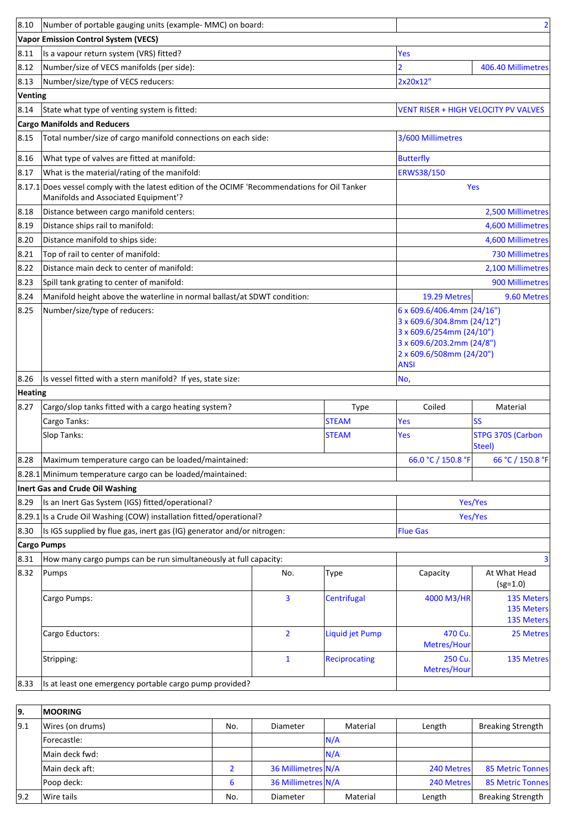| 8.10           | Number of portable gauging units (example- MMC) on board:                                                                              |                |                      |                                                                                                                                                              |                                               |
|----------------|----------------------------------------------------------------------------------------------------------------------------------------|----------------|----------------------|--------------------------------------------------------------------------------------------------------------------------------------------------------------|-----------------------------------------------|
|                | <b>Vapor Emission Control System (VECS)</b>                                                                                            |                |                      |                                                                                                                                                              |                                               |
| 8.11           | Is a vapour return system (VRS) fitted?                                                                                                |                |                      | Yes                                                                                                                                                          |                                               |
| 8.12           | Number/size of VECS manifolds (per side):                                                                                              |                |                      | $\overline{2}$                                                                                                                                               | 406.40 Millimetres                            |
| 8.13           | Number/size/type of VECS reducers:                                                                                                     |                |                      | 2x20x12"                                                                                                                                                     |                                               |
| Venting        |                                                                                                                                        |                |                      |                                                                                                                                                              |                                               |
| 8.14           | State what type of venting system is fitted:                                                                                           |                |                      | <b>VENT RISER + HIGH VELOCITY PV VALVES</b>                                                                                                                  |                                               |
|                | <b>Cargo Manifolds and Reducers</b>                                                                                                    |                |                      |                                                                                                                                                              |                                               |
| 8.15           | Total number/size of cargo manifold connections on each side:                                                                          |                |                      | 3/600 Millimetres                                                                                                                                            |                                               |
| 8.16           | What type of valves are fitted at manifold:                                                                                            |                |                      | <b>Butterfly</b>                                                                                                                                             |                                               |
| 8.17           | What is the material/rating of the manifold:                                                                                           |                |                      | ERWS38/150                                                                                                                                                   |                                               |
|                | 8.17.1 Does vessel comply with the latest edition of the OCIMF 'Recommendations for Oil Tanker<br>Manifolds and Associated Equipment'? |                |                      |                                                                                                                                                              | Yes                                           |
| 8.18           | Distance between cargo manifold centers:                                                                                               |                |                      |                                                                                                                                                              | 2,500 Millimetres                             |
| 8.19           | Distance ships rail to manifold:                                                                                                       |                |                      |                                                                                                                                                              | 4,600 Millimetres                             |
| 8.20           | Distance manifold to ships side:                                                                                                       |                |                      |                                                                                                                                                              | 4,600 Millimetres                             |
| 8.21           | Top of rail to center of manifold:                                                                                                     |                |                      |                                                                                                                                                              | 730 Millimetres                               |
| 8.22           | Distance main deck to center of manifold:                                                                                              |                |                      |                                                                                                                                                              | 2,100 Millimetres                             |
| 8.23           | Spill tank grating to center of manifold:                                                                                              |                |                      |                                                                                                                                                              | 900 Millimetres                               |
| 8.24           | Manifold height above the waterline in normal ballast/at SDWT condition:                                                               |                |                      | 19.29 Metres                                                                                                                                                 | 9.60 Metres                                   |
| 8.25           | Number/size/type of reducers:                                                                                                          |                |                      | 6 x 609.6/406.4mm (24/16")<br>3 x 609.6/304.8mm (24/12")<br>3 x 609.6/254mm (24/10")<br>3 x 609.6/203.2mm (24/8")<br>2 x 609.6/508mm (24/20")<br><b>ANSI</b> |                                               |
| 8.26           | Is vessel fitted with a stern manifold? If yes, state size:                                                                            |                |                      | No,                                                                                                                                                          |                                               |
| <b>Heating</b> |                                                                                                                                        |                |                      |                                                                                                                                                              |                                               |
| 8.27           | Cargo/slop tanks fitted with a cargo heating system?                                                                                   |                | Type                 | Coiled                                                                                                                                                       | Material                                      |
|                | Cargo Tanks:                                                                                                                           |                | <b>STEAM</b>         | <b>Yes</b>                                                                                                                                                   | <b>SS</b>                                     |
|                | Slop Tanks:                                                                                                                            |                | <b>STEAM</b>         | Yes                                                                                                                                                          | STPG 370S (Carbon<br>Steel)                   |
| 8.28           | Maximum temperature cargo can be loaded/maintained:                                                                                    |                |                      | 66.0 °C / 150.8 °F                                                                                                                                           | 66 °C / 150.8 °F                              |
|                | 8.28.1 Minimum temperature cargo can be loaded/maintained:                                                                             |                |                      |                                                                                                                                                              |                                               |
|                | Inert Gas and Crude Oil Washing                                                                                                        |                |                      |                                                                                                                                                              |                                               |
| 8.29           | Is an Inert Gas System (IGS) fitted/operational?                                                                                       |                |                      |                                                                                                                                                              | Yes/Yes                                       |
|                | 8.29.1 Is a Crude Oil Washing (COW) installation fitted/operational?                                                                   |                |                      |                                                                                                                                                              | Yes/Yes                                       |
| 8.30           | Is IGS supplied by flue gas, inert gas (IG) generator and/or nitrogen:                                                                 |                |                      | <b>Flue Gas</b>                                                                                                                                              |                                               |
|                | <b>Cargo Pumps</b>                                                                                                                     |                |                      |                                                                                                                                                              |                                               |
| 8.31           | How many cargo pumps can be run simultaneously at full capacity:                                                                       |                |                      |                                                                                                                                                              | 3                                             |
| 8.32           | Pumps                                                                                                                                  | No.            | <b>Type</b>          | Capacity                                                                                                                                                     | At What Head<br>$(sg=1.0)$                    |
|                | Cargo Pumps:                                                                                                                           | 3              | Centrifugal          | 4000 M3/HR                                                                                                                                                   | 135 Meters<br>135 Meters<br><b>135 Meters</b> |
|                | Cargo Eductors:                                                                                                                        | $\overline{2}$ | Liquid jet Pump      | 470 Cu.<br>Metres/Hour                                                                                                                                       | 25 Metres                                     |
|                | Stripping:                                                                                                                             | $\mathbf{1}$   | <b>Reciprocating</b> | 250 Cu.<br>Metres/Hour                                                                                                                                       | 135 Metres                                    |
| 8.33           | Is at least one emergency portable cargo pump provided?                                                                                |                |                      |                                                                                                                                                              |                                               |

| 9.  | <b>IMOORING</b>  |     |                    |          |            |                          |
|-----|------------------|-----|--------------------|----------|------------|--------------------------|
| 9.1 | Wires (on drums) | No. | Diameter           | Material | Length     | <b>Breaking Strength</b> |
|     | Forecastle:      |     |                    | N/A      |            |                          |
|     | Main deck fwd:   |     |                    | N/A      |            |                          |
|     | Main deck aft:   |     | 36 Millimetres N/A |          | 240 Metres | 85 Metric Tonnes         |
|     | Poop deck:       | 6   | 36 Millimetres N/A |          | 240 Metres | 85 Metric Tonnes         |
| 9.2 | Wire tails       | No. | Diameter           | Material | Length     | <b>Breaking Strength</b> |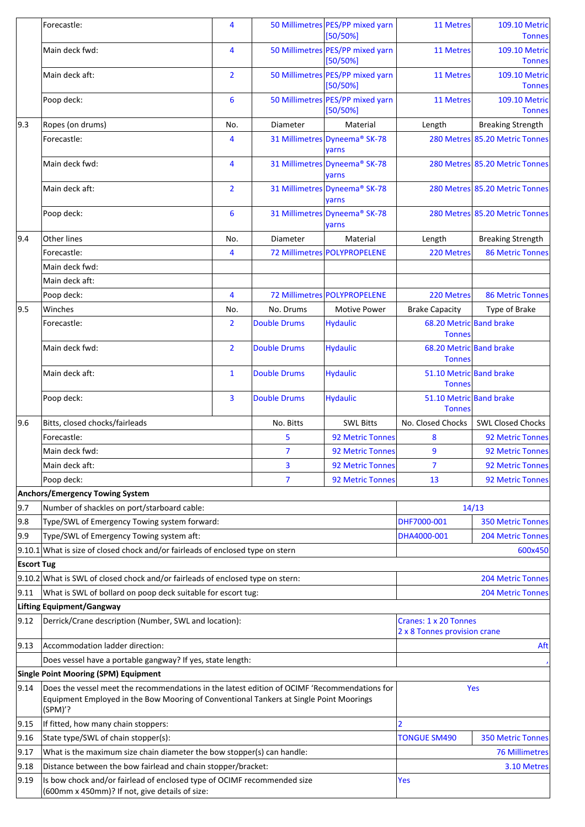|      | Forecastle:                                                                                                                                                                                       | 4              |                     | 50 Millimetres PES/PP mixed yarn<br>$[50/50\%]$       | 11 Metres                                | <b>109.10 Metric</b><br><b>Tonnes</b> |  |
|------|---------------------------------------------------------------------------------------------------------------------------------------------------------------------------------------------------|----------------|---------------------|-------------------------------------------------------|------------------------------------------|---------------------------------------|--|
|      | Main deck fwd:                                                                                                                                                                                    | 4              |                     | 50 Millimetres PES/PP mixed yarn<br>$[50/50\%]$       | 11 Metres                                | 109.10 Metric<br><b>Tonnes</b>        |  |
|      | Main deck aft:                                                                                                                                                                                    | $\overline{2}$ |                     | 50 Millimetres PES/PP mixed yarn<br>$[50/50\%]$       | 11 Metres                                | 109.10 Metric<br><b>Tonnes</b>        |  |
|      | Poop deck:                                                                                                                                                                                        | 6              |                     | 50 Millimetres PES/PP mixed yarn<br>$[50/50\%]$       | 11 Metres                                | <b>109.10 Metric</b><br><b>Tonnes</b> |  |
| 9.3  | Ropes (on drums)                                                                                                                                                                                  | No.            | Diameter            | Material                                              | Length                                   | <b>Breaking Strength</b>              |  |
|      | Forecastle:                                                                                                                                                                                       | 4              |                     | 31 Millimetres Dyneema® SK-78<br>yarns                |                                          | 280 Metres 85.20 Metric Tonnes        |  |
|      | Main deck fwd:                                                                                                                                                                                    | 4              |                     | 31 Millimetres Dyneema® SK-78<br>yarns                |                                          | 280 Metres 85.20 Metric Tonnes        |  |
|      | Main deck aft:                                                                                                                                                                                    | $\overline{2}$ |                     | 31 Millimetres Dyneema® SK-78<br>yarns                |                                          | 280 Metres 85.20 Metric Tonnes        |  |
|      | Poop deck:                                                                                                                                                                                        | 6              |                     | 31 Millimetres Dyneema <sup>®</sup> SK-78<br>yarns    |                                          | 280 Metres 85.20 Metric Tonnes        |  |
| 9.4  | <b>Other lines</b>                                                                                                                                                                                | No.            | Diameter            | Material                                              | Length                                   | <b>Breaking Strength</b>              |  |
|      | Forecastle:                                                                                                                                                                                       | 4              |                     | 72 Millimetres POLYPROPELENE                          | 220 Metres                               | <b>86 Metric Tonnes</b>               |  |
|      | Main deck fwd:                                                                                                                                                                                    |                |                     |                                                       |                                          |                                       |  |
|      | Main deck aft:                                                                                                                                                                                    |                |                     |                                                       |                                          |                                       |  |
|      | Poop deck:                                                                                                                                                                                        | 4              |                     | 72 Millimetres POLYPROPELENE                          | 220 Metres                               | <b>86 Metric Tonnes</b>               |  |
| 9.5  | Winches                                                                                                                                                                                           | No.            | No. Drums           | <b>Motive Power</b>                                   | <b>Brake Capacity</b>                    | Type of Brake                         |  |
|      | Forecastle:                                                                                                                                                                                       | $\overline{2}$ | <b>Double Drums</b> | <b>Hydaulic</b>                                       | 68.20 Metric Band brake<br><b>Tonnes</b> |                                       |  |
|      | Main deck fwd:                                                                                                                                                                                    | $\overline{2}$ | <b>Double Drums</b> | <b>Hydaulic</b>                                       | 68.20 Metric Band brake<br><b>Tonnes</b> |                                       |  |
|      | Main deck aft:                                                                                                                                                                                    | $\mathbf{1}$   | <b>Double Drums</b> | <b>Hydaulic</b>                                       | 51.10 Metric Band brake<br><b>Tonnes</b> |                                       |  |
|      | Poop deck:                                                                                                                                                                                        | 3              | <b>Double Drums</b> | <b>Hydaulic</b>                                       | 51.10 Metric Band brake<br><b>Tonnes</b> |                                       |  |
| 9.6  | Bitts, closed chocks/fairleads                                                                                                                                                                    |                | No. Bitts           | <b>SWL Bitts</b>                                      | No. Closed Chocks                        | <b>SWL Closed Chocks</b>              |  |
|      | Forecastle:                                                                                                                                                                                       |                | 5                   | 92 Metric Tonnes                                      | 8                                        | <b>92 Metric Tonnes</b>               |  |
|      | Main deck fwd:                                                                                                                                                                                    |                | 7                   | 92 Metric Tonnes                                      | 9                                        | <b>92 Metric Tonnes</b>               |  |
|      | Main deck aft:                                                                                                                                                                                    |                | 3                   | 92 Metric Tonnes                                      | $\overline{7}$                           | 92 Metric Tonnes                      |  |
|      | Poop deck:                                                                                                                                                                                        |                | 7                   | <b>92 Metric Tonnes</b>                               | 13                                       | <b>92 Metric Tonnes</b>               |  |
|      | Anchors/Emergency Towing System                                                                                                                                                                   |                |                     |                                                       |                                          |                                       |  |
| 9.7  | Number of shackles on port/starboard cable:                                                                                                                                                       |                |                     |                                                       | 14/13                                    |                                       |  |
| 9.8  | Type/SWL of Emergency Towing system forward:                                                                                                                                                      |                |                     |                                                       | DHF7000-001                              | <b>350 Metric Tonnes</b>              |  |
| 9.9  | Type/SWL of Emergency Towing system aft:                                                                                                                                                          |                |                     |                                                       | DHA4000-001                              | <b>204 Metric Tonnes</b>              |  |
|      | $9.10.1$ What is size of closed chock and/or fairleads of enclosed type on stern                                                                                                                  |                |                     |                                                       |                                          | 600x450                               |  |
|      | <b>Escort Tug</b>                                                                                                                                                                                 |                |                     |                                                       |                                          |                                       |  |
|      | $9.10.2$ What is SWL of closed chock and/or fairleads of enclosed type on stern:                                                                                                                  |                |                     |                                                       |                                          | <b>204 Metric Tonnes</b>              |  |
| 9.11 | What is SWL of bollard on poop deck suitable for escort tug:                                                                                                                                      |                |                     |                                                       | <b>204 Metric Tonnes</b>                 |                                       |  |
|      | Lifting Equipment/Gangway                                                                                                                                                                         |                |                     |                                                       |                                          |                                       |  |
| 9.12 | Derrick/Crane description (Number, SWL and location):                                                                                                                                             |                |                     | Cranes: 1 x 20 Tonnes<br>2 x 8 Tonnes provision crane |                                          |                                       |  |
| 9.13 | Accommodation ladder direction:                                                                                                                                                                   |                |                     |                                                       | Aft                                      |                                       |  |
|      | Does vessel have a portable gangway? If yes, state length:                                                                                                                                        |                |                     |                                                       |                                          |                                       |  |
|      | Single Point Mooring (SPM) Equipment                                                                                                                                                              |                |                     |                                                       |                                          |                                       |  |
| 9.14 | Does the vessel meet the recommendations in the latest edition of OCIMF 'Recommendations for<br>Equipment Employed in the Bow Mooring of Conventional Tankers at Single Point Moorings<br>(SPM)'? |                |                     | Yes                                                   |                                          |                                       |  |
| 9.15 | If fitted, how many chain stoppers:                                                                                                                                                               |                |                     |                                                       | $\overline{2}$                           |                                       |  |
| 9.16 | State type/SWL of chain stopper(s):                                                                                                                                                               |                |                     |                                                       | <b>TONGUE SM490</b>                      | <b>350 Metric Tonnes</b>              |  |
| 9.17 | What is the maximum size chain diameter the bow stopper(s) can handle:                                                                                                                            |                |                     |                                                       |                                          | <b>76 Millimetres</b>                 |  |
| 9.18 | Distance between the bow fairlead and chain stopper/bracket:                                                                                                                                      |                |                     |                                                       |                                          | 3.10 Metres                           |  |
| 9.19 | Is bow chock and/or fairlead of enclosed type of OCIMF recommended size<br>(600mm x 450mm)? If not, give details of size:                                                                         |                |                     | Yes                                                   |                                          |                                       |  |